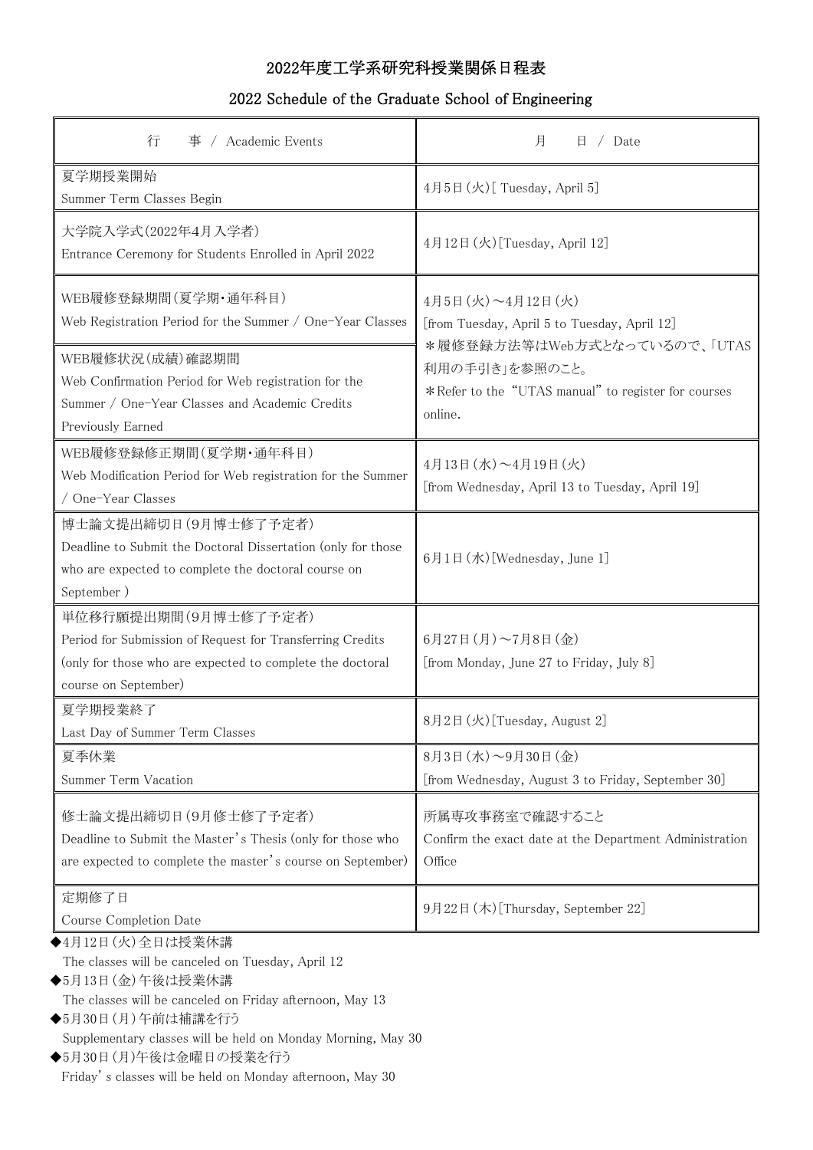## 2022年度工学系研究科授業関係日程表

## 2022 Schedule of the Graduate School of Engineering

| 行<br>/ Academic Events<br>事                                                                                                                                            | 月<br>/ Date<br>日                                                                                                                                                                        |
|------------------------------------------------------------------------------------------------------------------------------------------------------------------------|-----------------------------------------------------------------------------------------------------------------------------------------------------------------------------------------|
| 夏学期授業開始<br>Summer Term Classes Begin                                                                                                                                   | 4月5日 (火)[ Tuesday, April 5]                                                                                                                                                             |
| 大学院入学式(2022年4月入学者)<br>Entrance Ceremony for Students Enrolled in April 2022                                                                                            | 4月12日 (火) [Tuesday, April 12]                                                                                                                                                           |
| WEB履修登録期間(夏学期·通年科目)<br>Web Registration Period for the Summer / One-Year Classes                                                                                       | 4月5日 (火) ~4月12日 (火)<br>[from Tuesday, April 5 to Tuesday, April 12]<br>*履修登録方法等はWeb方式となっているので、「UTAS<br>利用の手引き」を参照のこと。<br>*Refer to the "UTAS manual" to register for courses<br>online. |
| WEB履修状況(成績)確認期間<br>Web Confirmation Period for Web registration for the<br>Summer / One-Year Classes and Academic Credits<br>Previously Earned                         |                                                                                                                                                                                         |
| WEB履修登録修正期間(夏学期·通年科目)<br>Web Modification Period for Web registration for the Summer<br>/ One-Year Classes                                                             | 4月13日 (水) ~4月19日 (火)<br>[from Wednesday, April 13 to Tuesday, April 19]                                                                                                                 |
| 博士論文提出締切日(9月博士修了予定者)<br>Deadline to Submit the Doctoral Dissertation (only for those<br>who are expected to complete the doctoral course on<br>September)              | 6月1日 (水) [Wednesday, June 1]                                                                                                                                                            |
| 単位移行願提出期間(9月博士修了予定者)<br>Period for Submission of Request for Transferring Credits<br>(only for those who are expected to complete the doctoral<br>course on September) | 6月27日(月)~7月8日(金)<br>[from Monday, June 27 to Friday, July 8]                                                                                                                            |
| 夏学期授業終了<br>Last Day of Summer Term Classes                                                                                                                             | 8月2日 (火)[Tuesday, August 2]                                                                                                                                                             |
| 夏季休業<br>Summer Term Vacation                                                                                                                                           | 8月3日 (水) ~9月30日 (金)<br>[from Wednesday, August 3 to Friday, September 30]                                                                                                               |
| 修士論文提出締切日(9月修士修了予定者)<br>Deadline to Submit the Master's Thesis (only for those who<br>are expected to complete the master's course on September)                       | 所属専攻事務室で確認すること<br>Confirm the exact date at the Department Administration<br>Office                                                                                                     |
| 定期修了日<br>Course Completion Date                                                                                                                                        | 9月22日 (木)[Thursday, September 22]                                                                                                                                                       |
| ◆4月12日 (火)全日は授業休講<br>The classes will be canceled on Tuesday, April 12<br>◆5月13日(金)午後は授業休講                                                                             |                                                                                                                                                                                         |

The classes will be canceled on Friday afternoon, May 13

◆5月30日(月)午前は補講を行う

Supplementary classes will be held on Monday Morning, May 30

◆5月30日(月)午後は金曜日の授業を行う Friday' s classes will be held on Monday afternoon, May 30